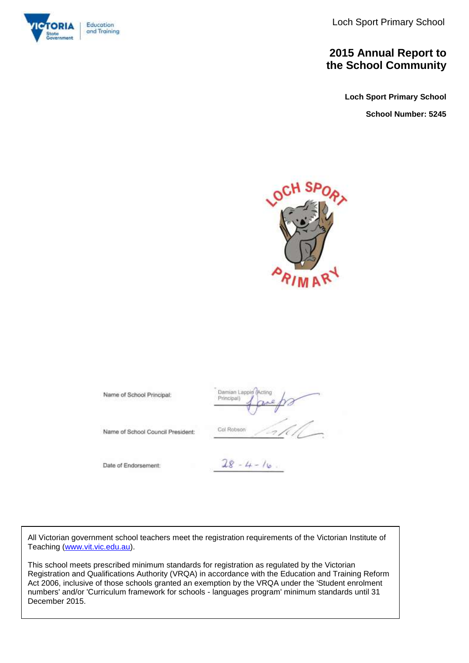Loch Sport Primary School



### **2015 Annual Report to the School Community**

**Loch Sport Primary School**

**School Number: 5245**



Damian Lapp Name of School Principal: Principal) Col Robson Name of School Council President:  $28 - 4 - 16$ Date of Endorsement:

All Victorian government school teachers meet the registration requirements of the Victorian Institute of Teaching [\(www.vit.vic.edu.au\)](http://www.vit.vic.edu.au/).

This school meets prescribed minimum standards for registration as regulated by the Victorian Registration and Qualifications Authority (VRQA) in accordance with the Education and Training Reform Act 2006, inclusive of those schools granted an exemption by the VRQA under the 'Student enrolment numbers' and/or 'Curriculum framework for schools - languages program' minimum standards until 31 December 2015.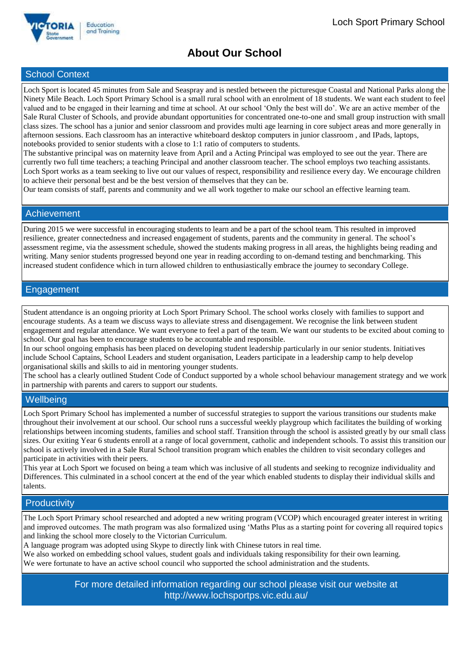

### **About Our School**

### School Context

Loch Sport is located 45 minutes from Sale and Seaspray and is nestled between the picturesque Coastal and National Parks along the Ninety Mile Beach. Loch Sport Primary School is a small rural school with an enrolment of 18 students. We want each student to feel valued and to be engaged in their learning and time at school. At our school 'Only the best will do'. We are an active member of the Sale Rural Cluster of Schools, and provide abundant opportunities for concentrated one-to-one and small group instruction with small class sizes. The school has a junior and senior classroom and provides multi age learning in core subject areas and more generally in afternoon sessions. Each classroom has an interactive whiteboard desktop computers in junior classroom , and IPads, laptops, notebooks provided to senior students with a close to 1:1 ratio of computers to students.

The substantive principal was on maternity leave from April and a Acting Principal was employed to see out the year. There are currently two full time teachers; a teaching Principal and another classroom teacher. The school employs two teaching assistants. Loch Sport works as a team seeking to live out our values of respect, responsibility and resilience every day. We encourage children to achieve their personal best and be the best version of themselves that they can be.

Our team consists of staff, parents and community and we all work together to make our school an effective learning team.

### Achievement

During 2015 we were successful in encouraging students to learn and be a part of the school team. This resulted in improved resilience, greater connectedness and increased engagement of students, parents and the community in general. The school's assessment regime, via the assessment schedule, showed the students making progress in all areas, the highlights being reading and writing. Many senior students progressed beyond one year in reading according to on-demand testing and benchmarking. This increased student confidence which in turn allowed children to enthusiastically embrace the journey to secondary College.

### Engagement

Student attendance is an ongoing priority at Loch Sport Primary School. The school works closely with families to support and encourage students. As a team we discuss ways to alleviate stress and disengagement. We recognise the link between student engagement and regular attendance. We want everyone to feel a part of the team. We want our students to be excited about coming to school. Our goal has been to encourage students to be accountable and responsible.

In our school ongoing emphasis has been placed on developing student leadership particularly in our senior students. Initiatives include School Captains, School Leaders and student organisation, Leaders participate in a leadership camp to help develop organisational skills and skills to aid in mentoring younger students.

The school has a clearly outlined Student Code of Conduct supported by a whole school behaviour management strategy and we work in partnership with parents and carers to support our students.

### **Wellbeing**

Loch Sport Primary School has implemented a number of successful strategies to support the various transitions our students make throughout their involvement at our school. Our school runs a successful weekly playgroup which facilitates the building of working relationships between incoming students, families and school staff. Transition through the school is assisted greatly by our small class sizes. Our exiting Year 6 students enroll at a range of local government, catholic and independent schools. To assist this transition our school is actively involved in a Sale Rural School transition program which enables the children to visit secondary colleges and participate in activities with their peers.

This year at Loch Sport we focused on being a team which was inclusive of all students and seeking to recognize individuality and Differences. This culminated in a school concert at the end of the year which enabled students to display their individual skills and talents.

### **Productivity**

The Loch Sport Primary school researched and adopted a new writing program (VCOP) which encouraged greater interest in writing and improved outcomes. The math program was also formalized using 'Maths Plus as a starting point for covering all required topics and linking the school more closely to the Victorian Curriculum.

A language program was adopted using Skype to directly link with Chinese tutors in real time.

We also worked on embedding school values, student goals and individuals taking responsibility for their own learning. We were fortunate to have an active school council who supported the school administration and the students.

> For more detailed information regarding our school please visit our website at http://www.lochsportps.vic.edu.au/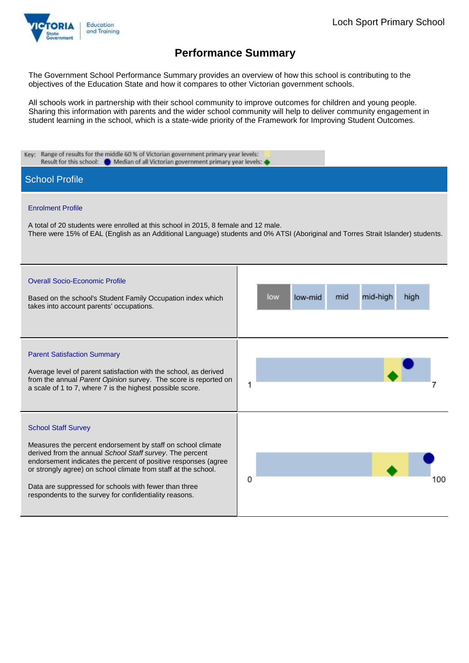

The Government School Performance Summary provides an overview of how this school is contributing to the objectives of the Education State and how it compares to other Victorian government schools.

All schools work in partnership with their school community to improve outcomes for children and young people. Sharing this information with parents and the wider school community will help to deliver community engagement in student learning in the school, which is a state-wide priority of the Framework for Improving Student Outcomes.

| Key: Range of results for the middle 60 % of Victorian government primary year levels:<br>Result for this school: @ Median of all Victorian government primary year levels:                                                                                                                                                                                                                                  |                                           |
|--------------------------------------------------------------------------------------------------------------------------------------------------------------------------------------------------------------------------------------------------------------------------------------------------------------------------------------------------------------------------------------------------------------|-------------------------------------------|
| <b>School Profile</b>                                                                                                                                                                                                                                                                                                                                                                                        |                                           |
| <b>Enrolment Profile</b><br>A total of 20 students were enrolled at this school in 2015, 8 female and 12 male.<br>There were 15% of EAL (English as an Additional Language) students and 0% ATSI (Aboriginal and Torres Strait Islander) students.                                                                                                                                                           |                                           |
| <b>Overall Socio-Economic Profile</b><br>Based on the school's Student Family Occupation index which<br>takes into account parents' occupations.                                                                                                                                                                                                                                                             | mid-high<br>mid<br>high<br>low<br>low-mid |
| <b>Parent Satisfaction Summary</b><br>Average level of parent satisfaction with the school, as derived<br>from the annual Parent Opinion survey. The score is reported on<br>a scale of 1 to 7, where 7 is the highest possible score.                                                                                                                                                                       | 1                                         |
| <b>School Staff Survey</b><br>Measures the percent endorsement by staff on school climate<br>derived from the annual School Staff survey. The percent<br>endorsement indicates the percent of positive responses (agree<br>or strongly agree) on school climate from staff at the school.<br>Data are suppressed for schools with fewer than three<br>respondents to the survey for confidentiality reasons. | 0<br>100                                  |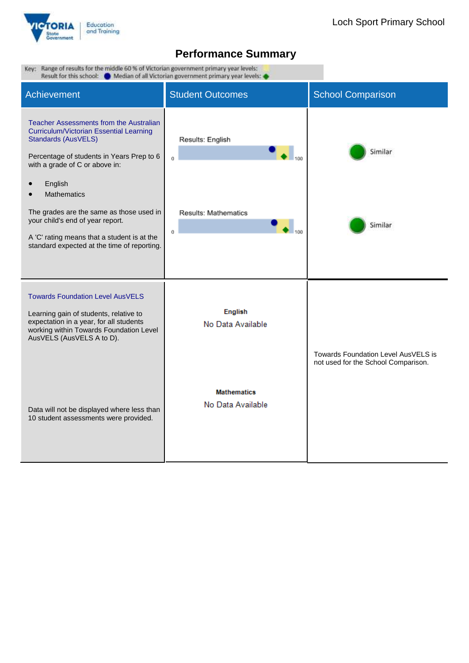

| Key: Range of results for the middle 60 % of Victorian government primary year levels:<br>Result for this school: @ Median of all Victorian government primary year levels:                                                      |                                         |                                                                            |  |  |  |
|----------------------------------------------------------------------------------------------------------------------------------------------------------------------------------------------------------------------------------|-----------------------------------------|----------------------------------------------------------------------------|--|--|--|
| Achievement                                                                                                                                                                                                                      | <b>Student Outcomes</b>                 | <b>School Comparison</b>                                                   |  |  |  |
| Teacher Assessments from the Australian<br>Curriculum/Victorian Essential Learning<br><b>Standards (AusVELS)</b><br>Percentage of students in Years Prep to 6<br>with a grade of C or above in:<br>English<br><b>Mathematics</b> | Results: English<br>Ō                   | Similar                                                                    |  |  |  |
| The grades are the same as those used in<br>your child's end of year report.<br>A 'C' rating means that a student is at the<br>standard expected at the time of reporting.                                                       | Results: Mathematics<br>0               | Similar                                                                    |  |  |  |
| <b>Towards Foundation Level AusVELS</b><br>Learning gain of students, relative to<br>expectation in a year, for all students<br>working within Towards Foundation Level<br>AusVELS (AusVELS A to D).                             | <b>English</b><br>No Data Available     | Towards Foundation Level AusVELS is<br>not used for the School Comparison. |  |  |  |
| Data will not be displayed where less than<br>10 student assessments were provided.                                                                                                                                              | <b>Mathematics</b><br>No Data Available |                                                                            |  |  |  |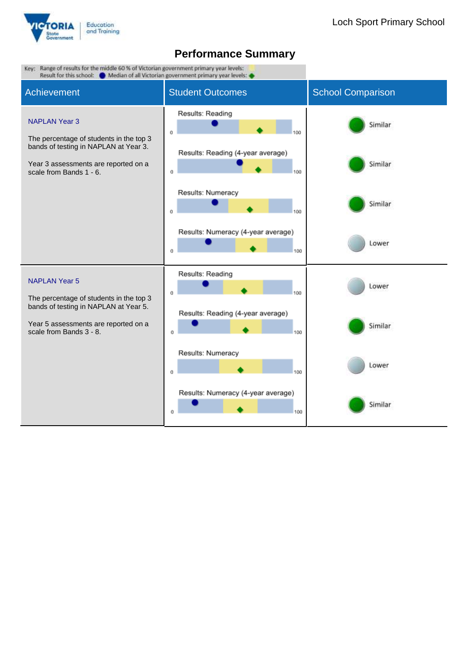

| Key: Range of results for the middle 60 % of Victorian government primary year levels:<br>Result for this school: Median of all Victorian government primary year levels: |                                                |                          |
|---------------------------------------------------------------------------------------------------------------------------------------------------------------------------|------------------------------------------------|--------------------------|
| <b>Achievement</b>                                                                                                                                                        | <b>Student Outcomes</b>                        | <b>School Comparison</b> |
| <b>NAPLAN Year 3</b><br>The percentage of students in the top 3                                                                                                           | Results: Reading<br>0<br>100                   | Similar                  |
| bands of testing in NAPLAN at Year 3.<br>Year 3 assessments are reported on a<br>scale from Bands 1 - 6.                                                                  | Results: Reading (4-year average)<br>100<br>0  | Similar                  |
|                                                                                                                                                                           | Results: Numeracy<br>O<br>100                  | Similar                  |
|                                                                                                                                                                           | Results: Numeracy (4-year average)<br>100<br>0 | Lower                    |
| <b>NAPLAN Year 5</b><br>The percentage of students in the top 3                                                                                                           | Results: Reading<br>0<br>100                   | Lower                    |
| bands of testing in NAPLAN at Year 5.<br>Year 5 assessments are reported on a<br>scale from Bands 3 - 8.                                                                  | Results: Reading (4-year average)<br>100<br>0  | Similar                  |
|                                                                                                                                                                           | Results: Numeracy<br>100<br>0                  | Lower                    |
|                                                                                                                                                                           | Results: Numeracy (4-year average)<br>100<br>0 | Similar                  |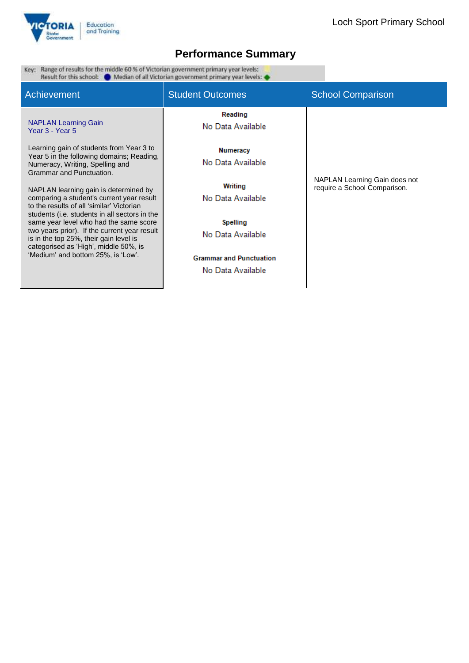

Key: Range of results for the middle 60 % of Victorian government primary year levels:<br>Result for this school:  $\bullet$  Median of all Victorian government primary year levels:

| Achievement                                                                                                                                                                                                                                                                                                                                                                                                                                                                                                                                                 | <b>Student Outcomes</b>                                                                                                                               | <b>School Comparison</b>                                      |
|-------------------------------------------------------------------------------------------------------------------------------------------------------------------------------------------------------------------------------------------------------------------------------------------------------------------------------------------------------------------------------------------------------------------------------------------------------------------------------------------------------------------------------------------------------------|-------------------------------------------------------------------------------------------------------------------------------------------------------|---------------------------------------------------------------|
| <b>NAPLAN Learning Gain</b><br>Year 3 - Year 5                                                                                                                                                                                                                                                                                                                                                                                                                                                                                                              | Reading<br>No Data Available                                                                                                                          |                                                               |
| Learning gain of students from Year 3 to<br>Year 5 in the following domains; Reading,<br>Numeracy, Writing, Spelling and<br>Grammar and Punctuation.<br>NAPLAN learning gain is determined by<br>comparing a student's current year result<br>to the results of all 'similar' Victorian<br>students (i.e. students in all sectors in the<br>same year level who had the same score<br>two years prior). If the current year result<br>is in the top 25%, their gain level is<br>categorised as 'High', middle 50%, is<br>'Medium' and bottom 25%, is 'Low'. | Numeracy<br>No Data Available<br>Writing<br>No Data Available<br>Spelling<br>No Data Available<br><b>Grammar and Punctuation</b><br>No Data Available | NAPLAN Learning Gain does not<br>require a School Comparison. |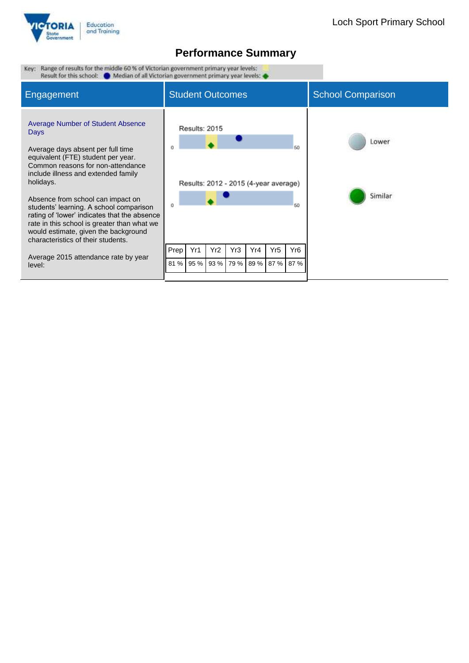

| Range of results for the middle 60 % of Victorian government primary year levels:<br>Key:<br>Result for this school: (Median of all Victorian government primary year levels: (expansion)                                                                                                                                                                                                                                                                                                                                                  |                                                                                            |                            |                  |                 |                                     |                          |
|--------------------------------------------------------------------------------------------------------------------------------------------------------------------------------------------------------------------------------------------------------------------------------------------------------------------------------------------------------------------------------------------------------------------------------------------------------------------------------------------------------------------------------------------|--------------------------------------------------------------------------------------------|----------------------------|------------------|-----------------|-------------------------------------|--------------------------|
| <b>Engagement</b>                                                                                                                                                                                                                                                                                                                                                                                                                                                                                                                          | <b>Student Outcomes</b>                                                                    |                            |                  |                 |                                     | <b>School Comparison</b> |
| <b>Average Number of Student Absence</b><br><b>Days</b><br>Average days absent per full time<br>equivalent (FTE) student per year.<br>Common reasons for non-attendance<br>include illness and extended family<br>holidays.<br>Absence from school can impact on<br>students' learning. A school comparison<br>rating of 'lower' indicates that the absence<br>rate in this school is greater than what we<br>would estimate, given the background<br>characteristics of their students.<br>Average 2015 attendance rate by year<br>level: | Results: 2015<br>Results: 2012 - 2015 (4-year average)<br>o<br>Yr1<br>Prep<br>95 %<br>81 % | Yr2<br>Yr3<br>93 %<br>79 % | Yr4<br>89 % 87 % | Yr <sub>5</sub> | 60<br>60<br>Yr <sub>6</sub><br>87 % | Lower<br>Similar         |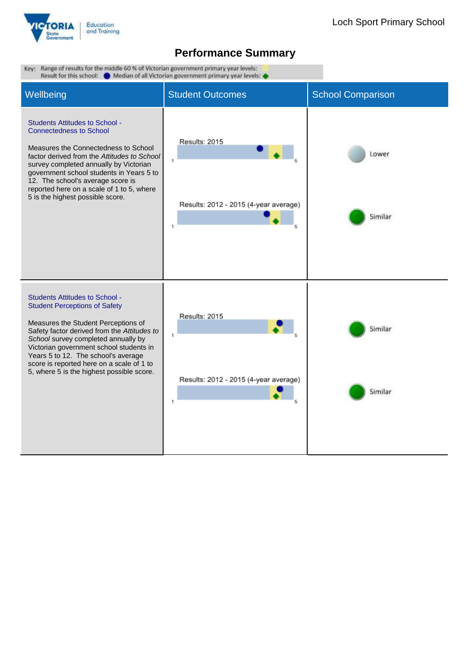

| Key: Range of results for the middle 60 % of Victorian government primary year levels:<br>Result for this school:<br>Median of all Victorian government primary year levels:                                                                                                                                                                                                           |                                                                  |                          |  |  |  |
|----------------------------------------------------------------------------------------------------------------------------------------------------------------------------------------------------------------------------------------------------------------------------------------------------------------------------------------------------------------------------------------|------------------------------------------------------------------|--------------------------|--|--|--|
| Wellbeing                                                                                                                                                                                                                                                                                                                                                                              | <b>Student Outcomes</b>                                          | <b>School Comparison</b> |  |  |  |
| <b>Students Attitudes to School -</b><br><b>Connectedness to School</b><br>Measures the Connectedness to School<br>factor derived from the Attitudes to School<br>survey completed annually by Victorian<br>government school students in Years 5 to<br>12. The school's average score is<br>reported here on a scale of 1 to 5, where<br>5 is the highest possible score.             | Results: 2015<br>1<br>Results: 2012 - 2015 (4-year average)<br>1 | Lower<br>Similar         |  |  |  |
| <b>Students Attitudes to School -</b><br><b>Student Perceptions of Safety</b><br>Measures the Student Perceptions of<br>Safety factor derived from the Attitudes to<br>School survey completed annually by<br>Victorian government school students in<br>Years 5 to 12. The school's average<br>score is reported here on a scale of 1 to<br>5, where 5 is the highest possible score. | Results: 2015<br>1<br>Results: 2012 - 2015 (4-year average)<br>1 | Similar<br>Similar       |  |  |  |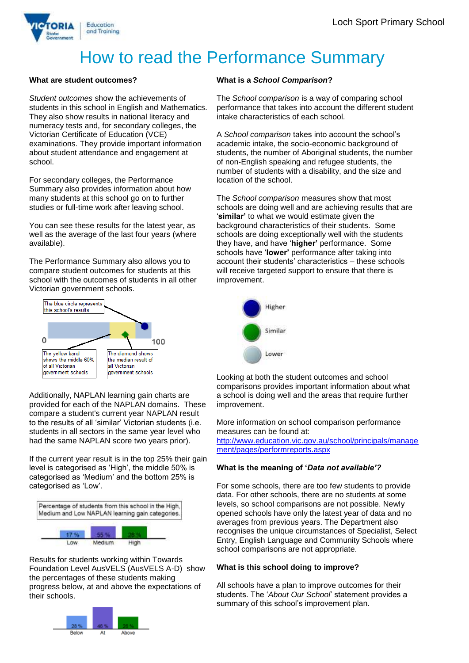

# How to read the Performance Summary

### **What are student outcomes?**

*Student outcomes* show the achievements of students in this school in English and Mathematics. They also show results in national literacy and numeracy tests and, for secondary colleges, the Victorian Certificate of Education (VCE) examinations. They provide important information about student attendance and engagement at school.

For secondary colleges, the Performance Summary also provides information about how many students at this school go on to further studies or full-time work after leaving school.

You can see these results for the latest year, as well as the average of the last four years (where available).

The Performance Summary also allows you to compare student outcomes for students at this school with the outcomes of students in all other Victorian government schools.



Additionally, NAPLAN learning gain charts are provided for each of the NAPLAN domains. These compare a student's current year NAPLAN result to the results of all 'similar' Victorian students (i.e. students in all sectors in the same year level who had the same NAPLAN score two years prior).

If the current year result is in the top 25% their gain level is categorised as 'High', the middle 50% is categorised as 'Medium' and the bottom 25% is categorised as 'Low'.



Results for students working within Towards Foundation Level AusVELS (AusVELS A-D) show the percentages of these students making progress below, at and above the expectations of their schools.



### **What is a** *School Comparison***?**

The *School comparison* is a way of comparing school performance that takes into account the different student intake characteristics of each school.

A *School comparison* takes into account the school's academic intake, the socio-economic background of students, the number of Aboriginal students, the number of non-English speaking and refugee students, the number of students with a disability, and the size and location of the school.

The *School comparison* measures show that most schools are doing well and are achieving results that are '**similar'** to what we would estimate given the background characteristics of their students. Some schools are doing exceptionally well with the students they have, and have '**higher'** performance. Some schools have '**lower'** performance after taking into account their students' characteristics – these schools will receive targeted support to ensure that there is improvement.



Looking at both the student outcomes and school comparisons provides important information about what a school is doing well and the areas that require further improvement.

More information on school comparison performance measures can be found at:

[http://www.education.vic.gov.au/school/principals/manage](http://www.education.vic.gov.au/school/principals/management/pages/performreports.aspx) [ment/pages/performreports.aspx](http://www.education.vic.gov.au/school/principals/management/pages/performreports.aspx)

### **What is the meaning of '***Data not available'?*

For some schools, there are too few students to provide data. For other schools, there are no students at some levels, so school comparisons are not possible. Newly opened schools have only the latest year of data and no averages from previous years. The Department also recognises the unique circumstances of Specialist, Select Entry, English Language and Community Schools where school comparisons are not appropriate.

### **What is this school doing to improve?**

All schools have a plan to improve outcomes for their students. The '*About Our School*' statement provides a summary of this school's improvement plan.